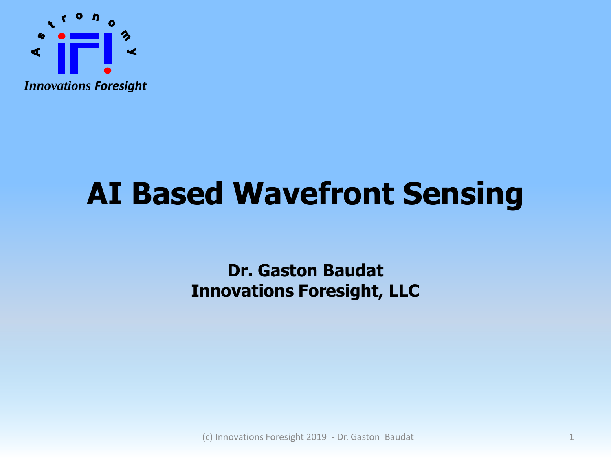

# **AI Based Wavefront Sensing**

#### **Dr. Gaston Baudat Innovations Foresight, LLC**

(c) Innovations Foresight 2019 - Dr. Gaston Baudat 1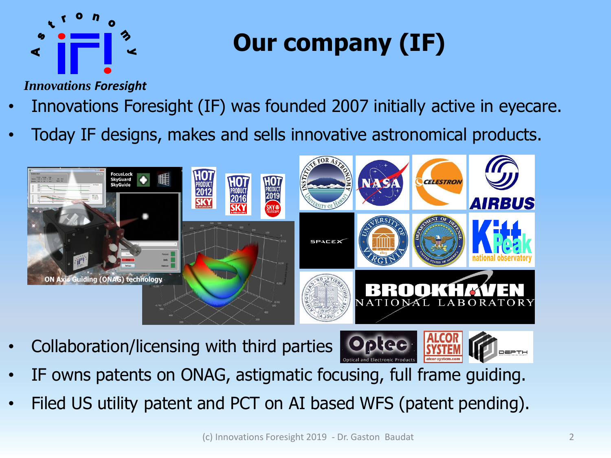

# **Our company (IF)**

*Innovations Foresight*

- Innovations Foresight (IF) was founded 2007 initially active in eyecare.
- Today IF designs, makes and sells innovative astronomical products.



• Collaboration/licensing with third parties



- IF owns patents on ONAG, astigmatic focusing, full frame guiding.
- Filed US utility patent and PCT on AI based WFS (patent pending).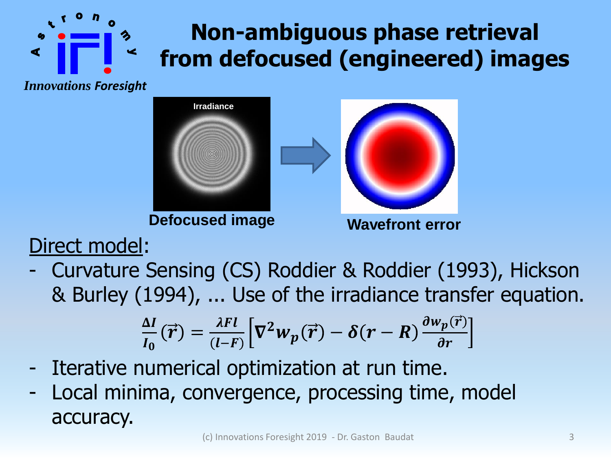### **Non-ambiguous phase retrieval from defocused (engineered) images**

*Innovations Foresight*



**Defocused image Wavefront error**



Direct model:

- Curvature Sensing (CS) Roddier & Roddier (1993), Hickson & Burley (1994), ... Use of the irradiance transfer equation.

$$
\frac{\Delta I}{I_0}(\vec{r}) = \frac{\lambda F l}{(I-F)} \Big[ \nabla^2 w_p(\vec{r}) - \delta(r-R) \frac{\partial w_p(\vec{r})}{\partial r} \Big]
$$

- Iterative numerical optimization at run time.
- Local minima, convergence, processing time, model accuracy.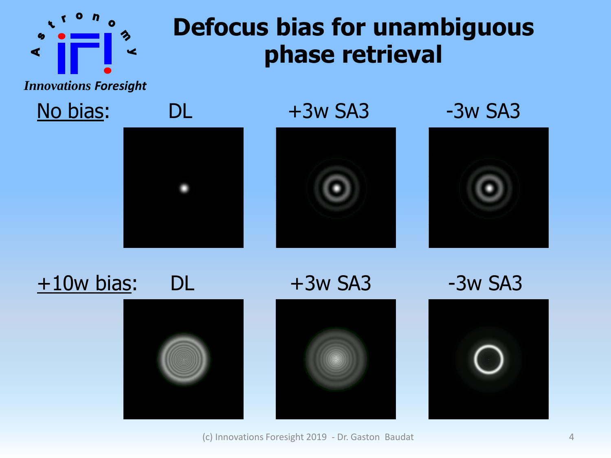

### **Defocus bias for unambiguous phase retrieval**

*Innovations Foresight*



 $+10w$  bias: DL  $+3w$  SA3  $-3w$  SA3











(c) Innovations Foresight 2019 - Dr. Gaston Baudat 4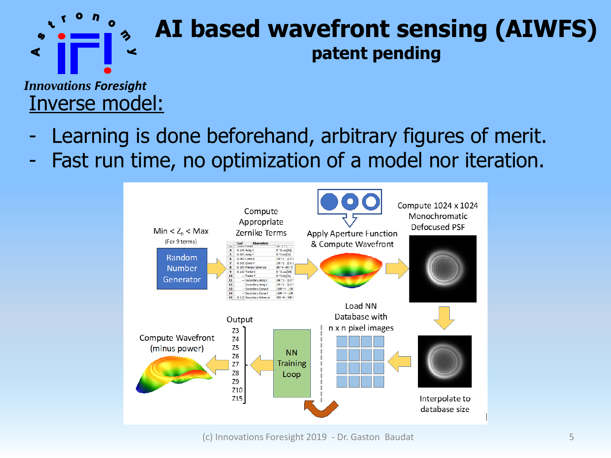

#### **AI based wavefront sensing (AIWFS) patent pending**

*Innovations Foresight* Inverse model:

- Learning is done beforehand, arbitrary figures of merit.
- Fast run time, no optimization of a model nor iteration.

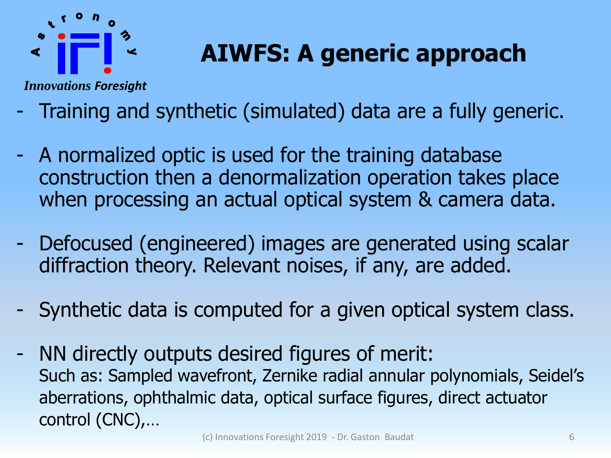

## **AIWFS: A generic approach**

*Innovations Foresight*

- Training and synthetic (simulated) data are a fully generic.
- A normalized optic is used for the training database construction then a denormalization operation takes place when processing an actual optical system & camera data.
- Defocused (engineered) images are generated using scalar diffraction theory. Relevant noises, if any, are added.
- Synthetic data is computed for a given optical system class.
- NN directly outputs desired figures of merit: Such as: Sampled wavefront, Zernike radial annular polynomials, Seidel's aberrations, ophthalmic data, optical surface figures, direct actuator control (CNC),…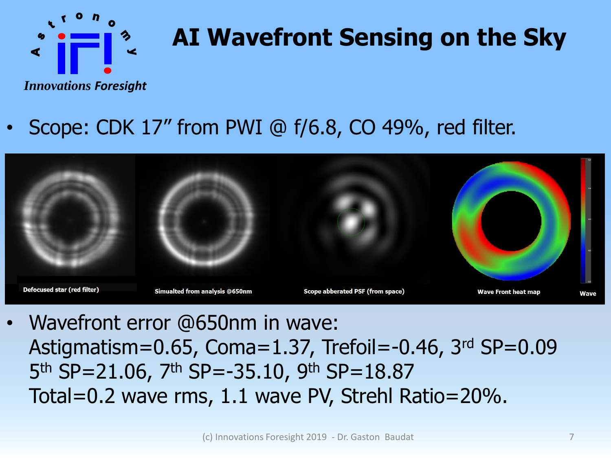

# **AI Wavefront Sensing on the Sky**

*Innovations Foresight*

#### • Scope: CDK 17" from PWI @ f/6.8, CO 49%, red filter.



• Wavefront error @650nm in wave: Astigmatism=0.65, Coma=1.37, Trefoil=-0.46, 3rd SP=0.09 5<sup>th</sup> SP=21.06, 7<sup>th</sup> SP=-35.10, 9<sup>th</sup> SP=18.87 Total=0.2 wave rms, 1.1 wave PV, Strehl Ratio=20%.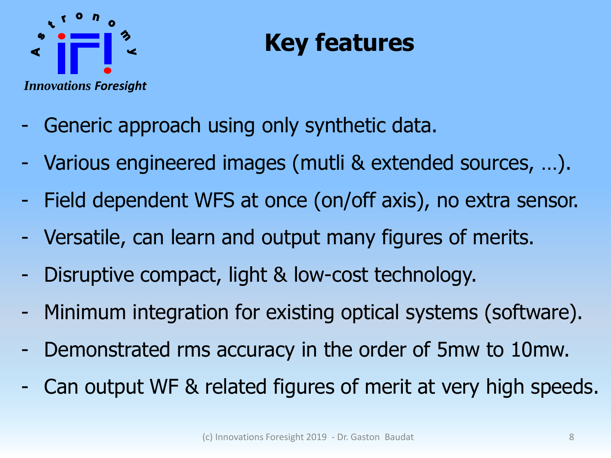

## **Key features**

- Generic approach using only synthetic data.
- Various engineered images (mutli & extended sources, …).
- Field dependent WFS at once (on/off axis), no extra sensor.
- Versatile, can learn and output many figures of merits.
- Disruptive compact, light & low-cost technology.
- Minimum integration for existing optical systems (software).
- Demonstrated rms accuracy in the order of 5mw to 10mw.
- Can output WF & related figures of merit at very high speeds.